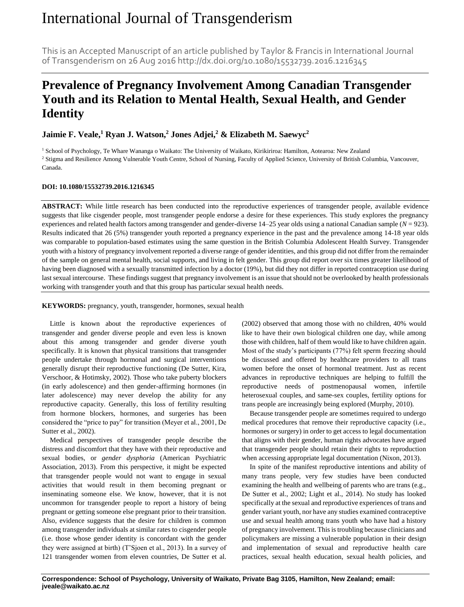# International Journal of Transgenderism

This is an Accepted Manuscript of an article published by Taylor & Francis in International Journal of Transgenderism on 26 Aug 2016 http://dx.doi.org/10.1080/15532739.2016.1216345

# **Prevalence of Pregnancy Involvement Among Canadian Transgender Youth and its Relation to Mental Health, Sexual Health, and Gender Identity**

**Jaimie F. Veale, <sup>1</sup> Ryan J. Watson, <sup>2</sup> Jones Adjei, <sup>2</sup> & Elizabeth M. Saewyc<sup>2</sup>**

<sup>1</sup> School of Psychology, Te Whare Wananga o Waikato: The University of Waikato, Kirikiriroa: Hamilton, Aotearoa: New Zealand

<sup>2</sup> Stigma and Resilience Among Vulnerable Youth Centre, School of Nursing, Faculty of Applied Science, University of British Columbia, Vancouver, Canada.

# **DOI: 10.1080/15532739.2016.1216345**

**ABSTRACT:** While little research has been conducted into the reproductive experiences of transgender people, available evidence suggests that like cisgender people, most transgender people endorse a desire for these experiences. This study explores the pregnancy experiences and related health factors among transgender and gender-diverse 14–25 year olds using a national Canadian sample (*N* = 923). Results indicated that 26 (5%) transgender youth reported a pregnancy experience in the past and the prevalence among 14-18 year olds was comparable to population-based estimates using the same question in the British Columbia Adolescent Health Survey. Transgender youth with a history of pregnancy involvement reported a diverse range of gender identities, and this group did not differ from the remainder of the sample on general mental health, social supports, and living in felt gender. This group did report over six times greater likelihood of having been diagnosed with a sexually transmitted infection by a doctor (19%), but did they not differ in reported contraception use during last sexual intercourse. These findings suggest that pregnancy involvement is an issue that should not be overlooked by health professionals working with transgender youth and that this group has particular sexual health needs.

**KEYWORDS:** pregnancy, youth, transgender, hormones, sexual health

Little is known about the reproductive experiences of transgender and gender diverse people and even less is known about this among transgender and gender diverse youth specifically. It is known that physical transitions that transgender people undertake through hormonal and surgical interventions generally disrupt their reproductive functioning (De Sutter, Kira, Verschoor, & Hotimsky, 2002). Those who take puberty blockers (in early adolescence) and then gender-affirming hormones (in later adolescence) may never develop the ability for any reproductive capacity. Generally, this loss of fertility resulting from hormone blockers, hormones, and surgeries has been considered the "price to pay" for transition (Meyer et al., 2001, De Sutter et al., 2002).

Medical perspectives of transgender people describe the distress and discomfort that they have with their reproductive and sexual bodies, or *gender dysphoria* (American Psychiatric Association, 2013). From this perspective, it might be expected that transgender people would not want to engage in sexual activities that would result in them becoming pregnant or inseminating someone else. We know, however, that it is not uncommon for transgender people to report a history of being pregnant or getting someone else pregnant prior to their transition. Also, evidence suggests that the desire for children is common among transgender individuals at similar rates to cisgender people (i.e. those whose gender identity is concordant with the gender they were assigned at birth) (T'Sjoen et al., 2013). In a survey of 121 transgender women from eleven countries, De Sutter et al. (2002) observed that among those with no children, 40% would like to have their own biological children one day, while among those with children, half of them would like to have children again. Most of the study's participants (77%) felt sperm freezing should be discussed and offered by healthcare providers to all trans women before the onset of hormonal treatment. Just as recent advances in reproductive techniques are helping to fulfill the reproductive needs of postmenopausal women, infertile heterosexual couples, and same-sex couples, fertility options for trans people are increasingly being explored (Murphy, 2010).

Because transgender people are sometimes required to undergo medical procedures that remove their reproductive capacity (i.e., hormones or surgery) in order to get access to legal documentation that aligns with their gender, human rights advocates have argued that transgender people should retain their rights to reproduction when accessing appropriate legal documentation (Nixon, 2013).

In spite of the manifest reproductive intentions and ability of many trans people, very few studies have been conducted examining the health and wellbeing of parents who are trans (e.g., De Sutter et al., 2002; Light et al., 2014). No study has looked specifically at the sexual and reproductive experiences of trans and gender variant youth, nor have any studies examined contraceptive use and sexual health among trans youth who have had a history of pregnancy involvement. This is troubling because clinicians and policymakers are missing a vulnerable population in their design and implementation of sexual and reproductive health care practices, sexual health education, sexual health policies, and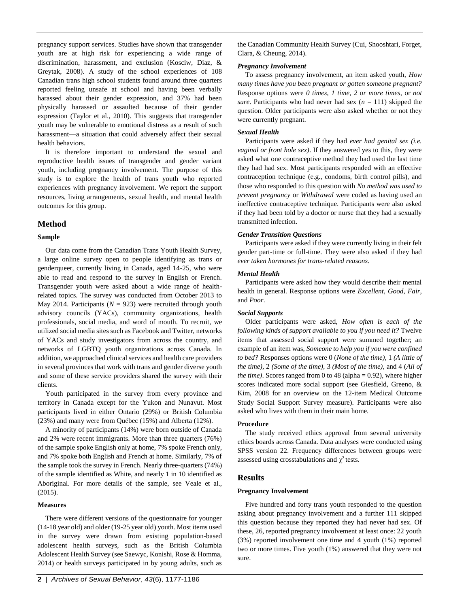pregnancy support services. Studies have shown that transgender youth are at high risk for experiencing a wide range of discrimination, harassment, and exclusion (Kosciw, Diaz, & Greytak, 2008). A study of the school experiences of 108 Canadian trans high school students found around three quarters reported feeling unsafe at school and having been verbally harassed about their gender expression, and 37% had been physically harassed or assaulted because of their gender expression (Taylor et al., 2010). This suggests that transgender youth may be vulnerable to emotional distress as a result of such harassment—a situation that could adversely affect their sexual health behaviors.

It is therefore important to understand the sexual and reproductive health issues of transgender and gender variant youth, including pregnancy involvement. The purpose of this study is to explore the health of trans youth who reported experiences with pregnancy involvement. We report the support resources, living arrangements, sexual health, and mental health outcomes for this group.

# **Method**

# **Sample**

Our data come from the Canadian Trans Youth Health Survey, a large online survey open to people identifying as trans or genderqueer, currently living in Canada, aged 14-25, who were able to read and respond to the survey in English or French. Transgender youth were asked about a wide range of healthrelated topics. The survey was conducted from October 2013 to May 2014. Participants  $(N = 923)$  were recruited through youth advisory councils (YACs), community organizations, health professionals, social media, and word of mouth. To recruit, we utilized social media sites such as Facebook and Twitter, networks of YACs and study investigators from across the country, and networks of LGBTQ youth organizations across Canada. In addition, we approached clinical services and health care providers in several provinces that work with trans and gender diverse youth and some of these service providers shared the survey with their clients.

Youth participated in the survey from every province and territory in Canada except for the Yukon and Nunavut. Most participants lived in either Ontario (29%) or British Columbia (23%) and many were from Québec (15%) and Alberta (12%).

A minority of participants (14%) were born outside of Canada and 2% were recent immigrants. More than three quarters (76%) of the sample spoke English only at home, 7% spoke French only, and 7% spoke both English and French at home. Similarly, 7% of the sample took the survey in French. Nearly three-quarters (74%) of the sample identified as White, and nearly 1 in 10 identified as Aboriginal. For more details of the sample, see Veale et al., (2015).

#### **Measures**

There were different versions of the questionnaire for younger (14-18 year old) and older (19-25 year old) youth. Most items used in the survey were drawn from existing population-based adolescent health surveys, such as the British Columbia Adolescent Health Survey (see Saewyc, Konishi, Rose & Homma, 2014) or health surveys participated in by young adults, such as

the Canadian Community Health Survey (Cui, Shooshtari, Forget, Clara, & Cheung, 2014).

#### *Pregnancy Involvement*

To assess pregnancy involvement, an item asked youth, *How many times have you been pregnant or gotten someone pregnant?* Response options were *0 times*, *1 time*, *2 or more times*, or *not sure*. Participants who had never had sex  $(n = 111)$  skipped the question. Older participants were also asked whether or not they were currently pregnant.

#### *Sexual Health*

Participants were asked if they had *ever had genital sex (i.e. vaginal or front hole sex)*. If they answered yes to this, they were asked what one contraceptive method they had used the last time they had had sex. Most participants responded with an effective contraception technique (e.g., condoms, birth control pills), and those who responded to this question with *No method was used to prevent pregnancy* or *Withdrawal* were coded as having used an ineffective contraceptive technique. Participants were also asked if they had been told by a doctor or nurse that they had a sexually transmitted infection.

# *Gender Transition Questions*

Participants were asked if they were currently living in their felt gender part-time or full-time. They were also asked if they had *ever taken hormones for trans-related reasons*.

### *Mental Health*

Participants were asked how they would describe their mental health in general. Response options were *Excellent, Good, Fair*, and *Poor*.

#### *Social Supports*

Older participants were asked, *How often is each of the following kinds of support available to you if you need it?* Twelve items that assessed social support were summed together; an example of an item was, *Someone to help you if you were confined to bed?* Responses options were 0 (*None of the time),* 1 *(A little of the time),* 2 *(Some of the time),* 3 *(Most of the time)*, and 4 (*All of the time*). Scores ranged from 0 to 48 (alpha  $= 0.92$ ), where higher scores indicated more social support (see Giesfield, Greeno, & Kim, 2008 for an overview on the 12-item Medical Outcome Study Social Support Survey measure). Participants were also asked who lives with them in their main home.

#### **Procedure**

The study received ethics approval from several university ethics boards across Canada. Data analyses were conducted using SPSS version 22. Frequency differences between groups were assessed using crosstabulations and  $\chi^2$  tests.

# **Results**

#### **Pregnancy Involvement**

Five hundred and forty trans youth responded to the question asking about pregnancy involvement and a further 111 skipped this question because they reported they had never had sex. Of these, 26, reported pregnancy involvement at least once: 22 youth (3%) reported involvement one time and 4 youth (1%) reported two or more times. Five youth (1%) answered that they were not sure.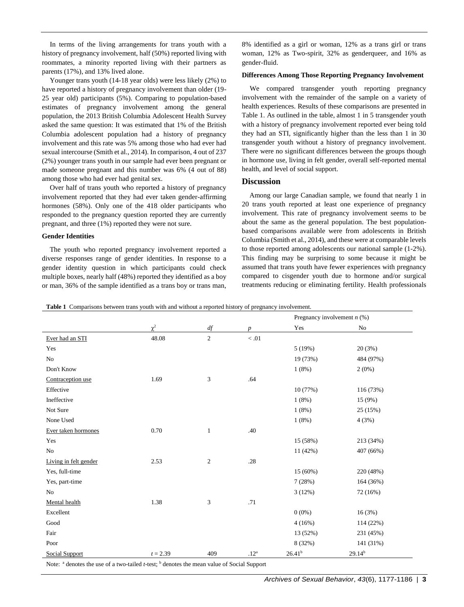In terms of the living arrangements for trans youth with a history of pregnancy involvement, half (50%) reported living with roommates, a minority reported living with their partners as parents (17%), and 13% lived alone.

Younger trans youth (14-18 year olds) were less likely (2%) to have reported a history of pregnancy involvement than older (19- 25 year old) participants (5%). Comparing to population-based estimates of pregnancy involvement among the general population, the 2013 British Columbia Adolescent Health Survey asked the same question: It was estimated that 1% of the British Columbia adolescent population had a history of pregnancy involvement and this rate was 5% among those who had ever had sexual intercourse (Smith et al., 2014). In comparison, 4 out of 237 (2%) younger trans youth in our sample had ever been pregnant or made someone pregnant and this number was 6% (4 out of 88) among those who had ever had genital sex.

Over half of trans youth who reported a history of pregnancy involvement reported that they had ever taken gender-affirming hormones (58%). Only one of the 418 older participants who responded to the pregnancy question reported they are currently pregnant, and three (1%) reported they were not sure.

#### **Gender Identities**

The youth who reported pregnancy involvement reported a diverse responses range of gender identities. In response to a gender identity question in which participants could check multiple boxes, nearly half (48%) reported they identified as a boy or man, 36% of the sample identified as a trans boy or trans man, 8% identified as a girl or woman, 12% as a trans girl or trans woman, 12% as Two-spirit, 32% as genderqueer, and 16% as gender-fluid.

# **Differences Among Those Reporting Pregnancy Involvement**

We compared transgender youth reporting pregnancy involvement with the remainder of the sample on a variety of health experiences. Results of these comparisons are presented in Table 1. As outlined in the table, almost 1 in 5 transgender youth with a history of pregnancy involvement reported ever being told they had an STI, significantly higher than the less than 1 in 30 transgender youth without a history of pregnancy involvement. There were no significant differences between the groups though in hormone use, living in felt gender, overall self-reported mental health, and level of social support.

# **Discussion**

Among our large Canadian sample, we found that nearly 1 in 20 trans youth reported at least one experience of pregnancy involvement. This rate of pregnancy involvement seems to be about the same as the general population. The best populationbased comparisons available were from adolescents in British Columbia (Smith et al., 2014), and these were at comparable levels to those reported among adolescents our national sample (1-2%). This finding may be surprising to some because it might be assumed that trans youth have fewer experiences with pregnancy compared to cisgender youth due to hormone and/or surgical treatments reducing or eliminating fertility. Health professionals

**Table 1** Comparisons between trans youth with and without a reported history of pregnancy involvement.

|                                                                                           |            |                  |                  | Pregnancy involvement $n$ (%) |             |
|-------------------------------------------------------------------------------------------|------------|------------------|------------------|-------------------------------|-------------|
|                                                                                           | $\chi^2$   | df               | $\boldsymbol{p}$ | Yes                           | No          |
| Ever had an STI                                                                           | 48.08      | $\sqrt{2}$       | $<.01$           |                               |             |
| Yes                                                                                       |            |                  |                  | 5(19%)                        | 20(3%)      |
| No                                                                                        |            |                  |                  | 19 (73%)                      | 484 (97%)   |
| Don't Know                                                                                |            |                  |                  | 1(8%)                         | $2(0\%)$    |
| Contraception use                                                                         | 1.69       | 3                | .64              |                               |             |
| Effective                                                                                 |            |                  |                  | 10(77%)                       | 116 (73%)   |
| Ineffective                                                                               |            |                  |                  | 1(8%)                         | 15 (9%)     |
| Not Sure                                                                                  |            |                  |                  | 1(8%)                         | 25(15%)     |
| None Used                                                                                 |            |                  |                  | 1(8%)                         | 4(3%)       |
| Ever taken hormones                                                                       | 0.70       | $\mathbf{1}$     | .40              |                               |             |
| Yes                                                                                       |            |                  |                  | 15 (58%)                      | 213 (34%)   |
| No                                                                                        |            |                  |                  | 11 (42%)                      | 407 (66%)   |
| Living in felt gender                                                                     | 2.53       | $\boldsymbol{2}$ | .28              |                               |             |
| Yes, full-time                                                                            |            |                  |                  | 15 (60%)                      | 220 (48%)   |
| Yes, part-time                                                                            |            |                  |                  | 7(28%)                        | 164 (36%)   |
| No                                                                                        |            |                  |                  | 3(12%)                        | 72 (16%)    |
| Mental health                                                                             | 1.38       | 3                | .71              |                               |             |
| Excellent                                                                                 |            |                  |                  | $0(0\%)$                      | 16(3%)      |
| Good                                                                                      |            |                  |                  | 4(16%)                        | 114 (22%)   |
| Fair                                                                                      |            |                  |                  | 13 (52%)                      | 231 (45%)   |
| Poor                                                                                      |            |                  |                  | 8 (32%)                       | 141 (31%)   |
| <b>Social Support</b>                                                                     | $t = 2.39$ | 409              | .12 <sup>a</sup> | 26.41 <sup>b</sup>            | $29.14^{b}$ |
| Note: a denotes the use of a two toiled t test b denotes the mean value of Social Support |            |                  |                  |                               |             |

Note:  $\alpha$  denotes the use of a two-tailed *t*-test;  $\alpha$  denotes the mean value of Social Support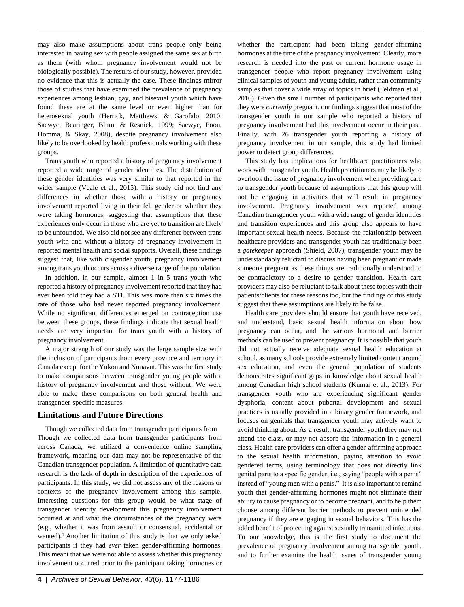may also make assumptions about trans people only being interested in having sex with people assigned the same sex at birth as them (with whom pregnancy involvement would not be biologically possible). The results of our study, however, provided no evidence that this is actually the case. These findings mirror those of studies that have examined the prevalence of pregnancy experiences among lesbian, gay, and bisexual youth which have found these are at the same level or even higher than for heterosexual youth (Herrick, Matthews, & Garofalo, 2010; Saewyc, Bearinger, Blum, & Resnick, 1999; Saewyc, Poon, Homma, & Skay, 2008), despite pregnancy involvement also likely to be overlooked by health professionals working with these groups.

Trans youth who reported a history of pregnancy involvement reported a wide range of gender identities. The distribution of these gender identities was very similar to that reported in the wider sample (Veale et al., 2015). This study did not find any differences in whether those with a history or pregnancy involvement reported living in their felt gender or whether they were taking hormones, suggesting that assumptions that these experiences only occur in those who are yet to transition are likely to be unfounded. We also did not see any difference between trans youth with and without a history of pregnancy involvement in reported mental health and social supports. Overall, these findings suggest that, like with cisgender youth, pregnancy involvement among trans youth occurs across a diverse range of the population.

In addition, in our sample, almost 1 in 5 trans youth who reported a history of pregnancy involvement reported that they had ever been told they had a STI. This was more than six times the rate of those who had never reported pregnancy involvement. While no significant differences emerged on contraception use between these groups, these findings indicate that sexual health needs are very important for trans youth with a history of pregnancy involvement.

A major strength of our study was the large sample size with the inclusion of participants from every province and territory in Canada except for the Yukon and Nunavut. This was the first study to make comparisons between transgender young people with a history of pregnancy involvement and those without. We were able to make these comparisons on both general health and transgender-specific measures.

# **Limitations and Future Directions**

Though we collected data from transgender participants from Though we collected data from transgender participants from across Canada, we utilized a convenience online sampling framework, meaning our data may not be representative of the Canadian transgender population. A limitation of quantitative data research is the lack of depth in description of the experiences of participants. In this study, we did not assess any of the reasons or contexts of the pregnancy involvement among this sample. Interesting questions for this group would be what stage of transgender identity development this pregnancy involvement occurred at and what the circumstances of the pregnancy were (e.g., whether it was from assault or consensual, accidental or wanted).<sup>1</sup> Another limitation of this study is that we only asked participants if they had *ever* taken gender-affirming hormones. This meant that we were not able to assess whether this pregnancy involvement occurred prior to the participant taking hormones or

whether the participant had been taking gender-affirming hormones at the time of the pregnancy involvement. Clearly, more research is needed into the past or current hormone usage in transgender people who report pregnancy involvement using clinical samples of youth and young adults, rather than community samples that cover a wide array of topics in brief (Feldman et al., 2016). Given the small number of participants who reported that they were *currently* pregnant, our findings suggest that most of the transgender youth in our sample who reported a history of pregnancy involvement had this involvement occur in their past. Finally, with 26 transgender youth reporting a history of pregnancy involvement in our sample, this study had limited power to detect group differences.

This study has implications for healthcare practitioners who work with transgender youth. Health practitioners may be likely to overlook the issue of pregnancy involvement when providing care to transgender youth because of assumptions that this group will not be engaging in activities that will result in pregnancy involvement. Pregnancy involvement was reported among Canadian transgender youth with a wide range of gender identities and transition experiences and this group also appears to have important sexual health needs. Because the relationship between healthcare providers and transgender youth has traditionally been a *gatekeeper* approach (Shield, 2007), transgender youth may be understandably reluctant to discuss having been pregnant or made someone pregnant as these things are traditionally understood to be contradictory to a desire to gender transition. Health care providers may also be reluctant to talk about these topics with their patients/clients for these reasons too, but the findings of this study suggest that these assumptions are likely to be false.

Health care providers should ensure that youth have received, and understand, basic sexual health information about how pregnancy can occur, and the various hormonal and barrier methods can be used to prevent pregnancy. It is possible that youth did not actually receive adequate sexual health education at school, as many schools provide extremely limited content around sex education, and even the general population of students demonstrates significant gaps in knowledge about sexual health among Canadian high school students (Kumar et al., 2013). For transgender youth who are experiencing significant gender dysphoria, content about pubertal development and sexual practices is usually provided in a binary gender framework, and focuses on genitals that transgender youth may actively want to avoid thinking about. As a result, transgender youth they may not attend the class, or may not absorb the information in a general class. Health care providers can offer a gender-affirming approach to the sexual health information, paying attention to avoid gendered terms, using terminology that does not directly link genital parts to a specific gender, i.e., saying "people with a penis" instead of "young men with a penis." It is also important to remind youth that gender-affirming hormones might not eliminate their ability to cause pregnancy or to become pregnant, and to help them choose among different barrier methods to prevent unintended pregnancy if they are engaging in sexual behaviors. This has the added benefit of protecting against sexually transmitted infections. To our knowledge, this is the first study to document the prevalence of pregnancy involvement among transgender youth, and to further examine the health issues of transgender young